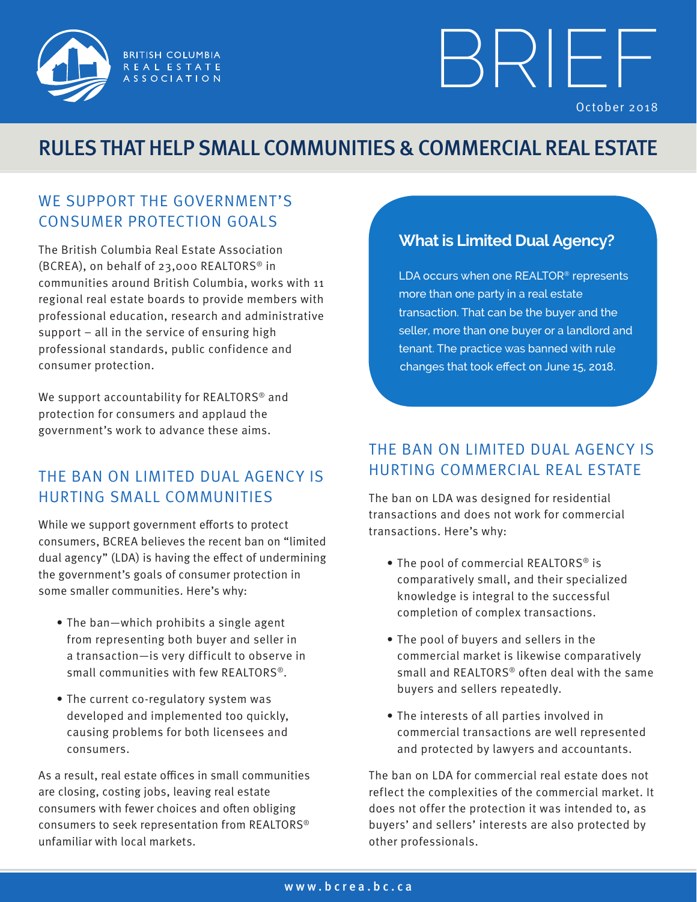

# BRIE F October 2018

## RULES THAT HELP SMALL COMMUNITIES & COMMERCIAL REAL ESTATE

#### WE SUPPORT THE GOVERNMENT'S CONSUMER PROTECTION GOALS

The British Columbia Real Estate Association (BCREA), on behalf of 23,000 REALTORS® in communities around British Columbia, works with 11 regional real estate boards to provide members with professional education, research and administrative support – all in the service of ensuring high professional standards, public confidence and consumer protection.

We support accountability for REALTORS<sup>®</sup> and protection for consumers and applaud the government's work to advance these aims.

#### THE BAN ON LIMITED DUAL AGENCY IS HURTING SMALL COMMUNITIES

While we support government efforts to protect consumers, BCREA believes the recent ban on "limited dual agency" (LDA) is having the effect of undermining the government's goals of consumer protection in some smaller communities. Here's why:

- The ban—which prohibits a single agent from representing both buyer and seller in a transaction—is very difficult to observe in small communities with few REALTORS®.
- The current co-regulatory system was developed and implemented too quickly, causing problems for both licensees and consumers.

As a result, real estate offices in small communities are closing, costing jobs, leaving real estate consumers with fewer choices and often obliging consumers to seek representation from REALTORS® unfamiliar with local markets.

#### **What is Limited Dual Agency?**

LDA occurs when one REALTOR® represents more than one party in a real estate transaction. That can be the buyer and the seller, more than one buyer or a landlord and tenant. The practice was banned with rule changes that took effect on June 15, 2018.

#### THE BAN ON LIMITED DUAL AGENCY IS HURTING COMMERCIAL REAL ESTATE

The ban on LDA was designed for residential transactions and does not work for commercial transactions. Here's why:

- The pool of commercial REALTORS® is comparatively small, and their specialized knowledge is integral to the successful completion of complex transactions.
- The pool of buyers and sellers in the commercial market is likewise comparatively small and REALTORS® often deal with the same buyers and sellers repeatedly.
- The interests of all parties involved in commercial transactions are well represented and protected by lawyers and accountants.

The ban on LDA for commercial real estate does not reflect the complexities of the commercial market. It does not offer the protection it was intended to, as buyers' and sellers' interests are also protected by other professionals.